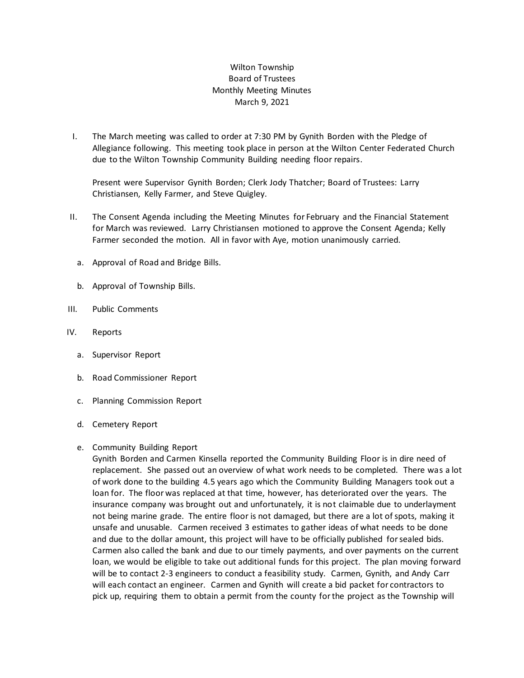## Wilton Township Board of Trustees Monthly Meeting Minutes March 9, 2021

I. The March meeting was called to order at 7:30 PM by Gynith Borden with the Pledge of Allegiance following. This meeting took place in person at the Wilton Center Federated Church due to the Wilton Township Community Building needing floor repairs.

Present were Supervisor Gynith Borden; Clerk Jody Thatcher; Board of Trustees: Larry Christiansen, Kelly Farmer, and Steve Quigley.

- II. The Consent Agenda including the Meeting Minutes for February and the Financial Statement for March was reviewed. Larry Christiansen motioned to approve the Consent Agenda; Kelly Farmer seconded the motion. All in favor with Aye, motion unanimously carried.
	- a. Approval of Road and Bridge Bills.
	- b. Approval of Township Bills.
- III. Public Comments
- IV. Reports
	- a. Supervisor Report
	- b. Road Commissioner Report
	- c. Planning Commission Report
	- d. Cemetery Report

## e. Community Building Report

Gynith Borden and Carmen Kinsella reported the Community Building Floor is in dire need of replacement. She passed out an overview of what work needs to be completed. There was a lot of work done to the building 4.5 years ago which the Community Building Managers took out a loan for. The floor was replaced at that time, however, has deteriorated over the years. The insurance company was brought out and unfortunately, it is not claimable due to underlayment not being marine grade. The entire floor is not damaged, but there are a lot of spots, making it unsafe and unusable. Carmen received 3 estimates to gather ideas of what needs to be done and due to the dollar amount, this project will have to be officially published for sealed bids. Carmen also called the bank and due to our timely payments, and over payments on the current loan, we would be eligible to take out additional funds for this project. The plan moving forward will be to contact 2-3 engineers to conduct a feasibility study. Carmen, Gynith, and Andy Carr will each contact an engineer. Carmen and Gynith will create a bid packet for contractors to pick up, requiring them to obtain a permit from the county for the project as the Township will